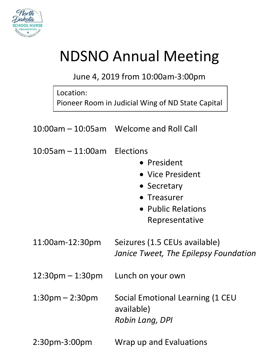

## NDSNO Annual Meeting

## June 4, 2019 from 10:00am-3:00pm

|                                  | Location: | Pioneer Room in Judicial Wing of ND State Capital                                                     |
|----------------------------------|-----------|-------------------------------------------------------------------------------------------------------|
|                                  |           | 10:00am – 10:05am Welcome and Roll Call                                                               |
| $10:05$ am $-11:00$ am Elections |           | • President<br>• Vice President<br>• Secretary<br>• Treasurer<br>• Public Relations<br>Representative |
| 11:00am-12:30pm                  |           | Seizures (1.5 CEUs available)<br>Janice Tweet, The Epilepsy Foundation                                |
| 12:30pm – 1:30pm                 |           | Lunch on your own                                                                                     |
| $1:30$ pm $-2:30$ pm             |           | Social Emotional Learning (1 CEU<br>available)<br>Robin Lang, DPI                                     |

2:30pm-3:00pm Wrap up and Evaluations